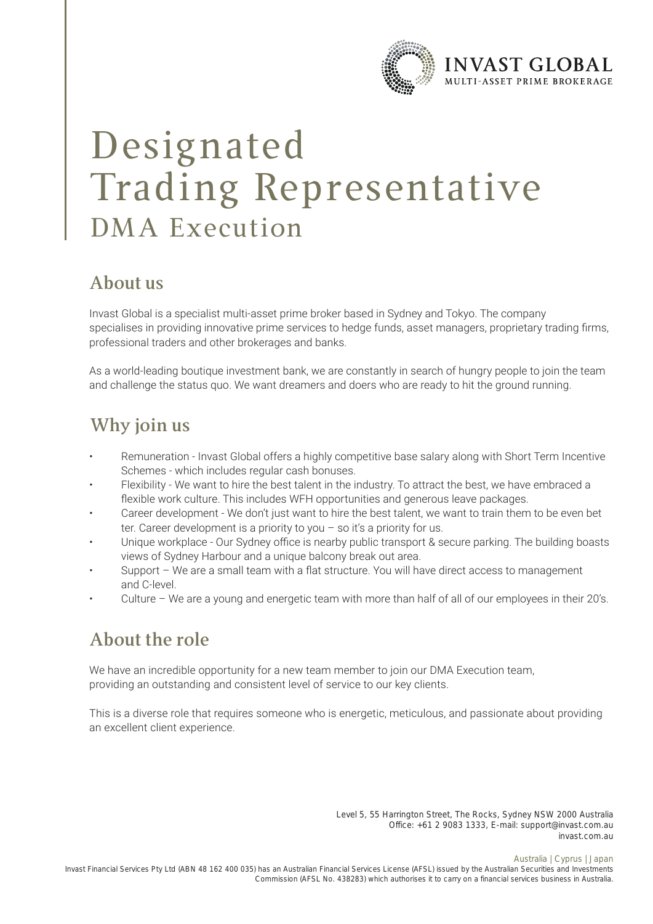

# Designated Trading Representative DMA Execution

#### **About us**

Invast Global is a specialist multi-asset prime broker based in Sydney and Tokyo. The company specialises in providing innovative prime services to hedge funds, asset managers, proprietary trading firms, professional traders and other brokerages and banks.

As a world-leading boutique investment bank, we are constantly in search of hungry people to join the team and challenge the status quo. We want dreamers and doers who are ready to hit the ground running.

## **Why join us**

- Remuneration Invast Global offers a highly competitive base salary along with Short Term Incentive Schemes - which includes regular cash bonuses.
- Flexibility We want to hire the best talent in the industry. To attract the best, we have embraced a flexible work culture. This includes WFH opportunities and generous leave packages.
- Career development We don't just want to hire the best talent, we want to train them to be even bet ter. Career development is a priority to you – so it's a priority for us.
- Unique workplace Our Sydney office is nearby public transport & secure parking. The building boasts views of Sydney Harbour and a unique balcony break out area.
- Support We are a small team with a flat structure. You will have direct access to management and C-level.
- Culture We are a young and energetic team with more than half of all of our employees in their 20's.

## **About the role**

We have an incredible opportunity for a new team member to join our DMA Execution team, providing an outstanding and consistent level of service to our key clients.

This is a diverse role that requires someone who is energetic, meticulous, and passionate about providing an excellent client experience.

> Level 5, 55 Harrington Street, The Rocks, Sydney NSW 2000 Australia Office: +61 2 9083 1333, E-mail: support@invast.com.au invast.com.au